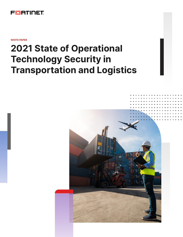

**WHITE PAPER**

# **2021 State of Operational Technology Security in Transportation and Logistics**

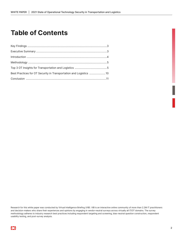## **Table of Contents**

| Best Practices for OT Security in Transportation and Logistics  10 |  |
|--------------------------------------------------------------------|--|
|                                                                    |  |
|                                                                    |  |

Research for this white paper was conducted by Virtual Intelligence Briefing (VIB). VIB is an interactive online community of more than 2.2M IT practitioners and decision-makers who share their experiences and opinions by engaging in vendor-neutral surveys across virtually all IT/OT domains. The survey methodology adheres to industry research best practices including respondent targeting and screening, bias-neutral question construction, respondent usability testing, and post-survey analysis.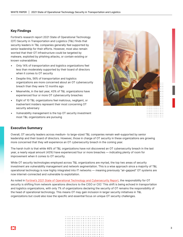## <span id="page-2-0"></span>**Key Findings**

Fortinet's research report 2021 State of Operational Technology (OT) Security in Transportation and Logistics (T&L) finds that security leaders in T&L companies generally feel supported by senior leadership for their efforts. However, most also remain worried that their OT infrastructure could be targeted by malware, exploited by phishing attacks, or contain existing or known vulnerabilities

- Only 14% of transportation and logistics organizations feel less than moderately supported by their board of directors when it comes to OT security
- Despite this, 56% of transportation and logistics organizations are more concerned about an OT cybersecurity breach than they were 12 months ago
- Meanwhile, in the last year, 43% of T&L organizations have experienced four or more OT cybersecurity breaches
- Eight of 10 T&L organizations feel malicious, negligent, or inadvertent insiders represent their most concerning OT security adversary
- Vulnerability management is the top OT security investment most T&L organizations are pursuing



## **Executive Summary**

Overall, OT security leaders across medium- to large-sized T&L companies remain well-supported by senior leadership and their board of directors. However, those in charge of OT security in these organizations are growing more concerned that they will experience an OT cybersecurity breach in the coming year.

The harsh truth is that while 46% of T&L organizations have not discovered an OT cybersecurity breach in the last year, a nearly equal amount (43%) have experienced four or more breaches — indicating plenty of room for improvement when it comes to OT security.

While OT security technologies employed across T&L organizations are myriad, the top two areas of security investment are vulnerability management and network segmentation. This is a wise approach since a majority of T&L operational technology is now highly integrated into IT networks — meaning previously "air-gapped" OT systems are now internet-connected and vulnerable to exploitation.

As noted in [Fortinet's 2021 State of Operational Technology and Cybersecurity Report,](https://www.fortinet.com/content/dam/maindam/PUBLIC/02_MARKETING/08_Report/report-2021-ot-cybersecurity.pdf) the responsibility for OT security is shifting from network operations directors to the CISO or CIO.<sup>1</sup> This shift is being echoed in transportation and logistics organizations, with only 7% of organizations declaring the security of OT remains the responsibility of the head of operational technology. This means OT may gain inclusion in larger security initiatives in T&L organizations but could also lose the specific and essential focus on unique OT security challenges.

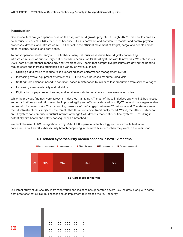## <span id="page-3-0"></span>**Introduction**

Operational technology dependence is on the rise, with solid growth projected through 2027.<sup>2</sup> This should come as no surprise to leaders in T&L enterprises because OT uses hardware and software to monitor and control physical processes, devices, and infrastructure — all critical to the efficient movement of freight, cargo, and people across cities, regions, nations, and continents.

To boost operational efficiency and profitability, many T&L businesses have been digitally connecting OT infrastructure such as supervisory control and data acquisition (SCADA) systems with IT networks. We noted in our 2021 State of Operational Technology and Cybersecurity Report that competitive pressures are driving the need to reduce costs and increase efficiencies in a variety of ways, such as:

- Utilizing digital twins to reduce risks supporting asset performance management (APM)
- Increasing overall equipment effectiveness (OEE) to drive increased manufacturing yield
- Shifting from calendar-based to condition-based maintenance to minimize lost production from service outages
- Increasing asset availability and reliability
- Digitization of paper recordkeeping and service reports for service and maintenance activities

While the previous findings were across all industries managing OT, most of these initiatives apply to T&L businesses and organizations as well. However, the improved agility and efficiency derived from IT/OT network convergence also comes with increased risks. The diminishing presence of the "air gap" between OT networks and IT systems means the OT infrastructure is subject to the threats that IT systems have traditionally faced. Worse, the attack surface for an OT system can comprise industrial internet of things (IIoT) devices that control critical systems — resulting in potentially dire health and safety consequences if breached.3

We think the rise of IT/OT integration is why 56% of T&L operational technology security experts feel more concerned about an OT cybersecurity breach happening in the next 12 months than they were in the year prior.



## **OT-related cybersecurity breach concern in next 12 months**

Our latest study of OT security in transportation and logistics has generated several key insights, along with some best practices that all T&L businesses should implement to increase their OT security.

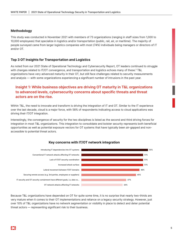## <span id="page-4-0"></span>**Methodology**

This study was conducted in November 2021 with members of 73 organizations (ranging in staff sizes from 1,000 to 10,000 employees) that specialize in logistics and/or transportation (public, rail, air, or maritime). The majority of people surveyed came from larger logistics companies with most (74%) individuals being managers or directors of IT and/or OT.

## **Top 3 OT Insights for Transportation and Logistics**

As noted from our 2021 State of Operational Technology and Cybersecurity Report, OT leaders continued to struggle with changes related to IT/OT convergence, and transportation and logistics echoes many of these.<sup>3</sup> T&L organizations have very advanced maturity in their OT, but still face challenges related to security measurements and analysis — with some organizations experiencing a significant number of intrusions in the past year.

## **Insight 1: While business objectives are driving OT maturity in T&L organizations to advanced levels, cybersecurity concerns about specific threats and threat actors are on the rise.**

Within T&L, the need to innovate and transform is driving the integration of IT and OT. Similar to the IT experience over the last decade, cloud is a major force, with 58% of respondents indicating access to cloud applications was driving their IT/OT integration.

Interestingly, the convergence of security for the two disciplines is listed as the second and third driving forces for integration in most T&L organizations. This integration to consolidate and bolster security represents both beneficial opportunities as well as potential exposure vectors for OT systems that have typically been air-gapped and nonaccessible to potential threat actors.



## **Key concerns with IT/OT network integration**

Because T&L organizations have depended on OT for quite some time, it is no surprise that nearly two-thirds are very mature when it comes to their OT implementations and reliance on a legacy security strategy. However, just over 10% of T&L organizations have no network segmentation or visibility in place to detect and deter potential threat actors — representing significant risk to their business.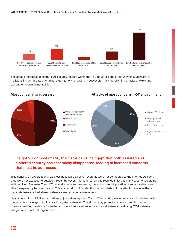

The areas of greatest concern to OT security leaders within the T&L industries are either unwitting, unaware, or malicious insider threats or criminal organizations engaging in successful malware/phishing attacks or exploiting existing or known vulnerabilities.



## **Insight 2: For most of T&L, the historical OT "air gap" that both assisted and hindered security has essentially disappeared, leading to increased concerns that must be addressed.**

Traditionally, OT cybersecurity was less necessary since OT systems were not connected to the internet. As such, they were not exposed to outside threats. However, this historical air gap resulted in just as many security problems as it resolved. Because IT and OT networks were kept separate, there was often duplication of security efforts and little transparency between teams. This made it difficult to identify the boundaries of the attack surface as these disparate teams lacked shared network asset situational awareness.

Nearly two-thirds of T&L organizations enjoy well-integrated IT and OT networks, leaving nearly a third dealing with the security challenges of minimally integrated networks. The air gap may protect to some extent, but as we observed earlier, the desire for better and more integrated security across all networks is driving IT/OT network integration in most T&L organizations.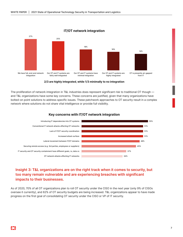

## **IT/OT network integration**



The proliferation of network integration in T&L industries does represent significant risk to traditional OT though and T&L organizations have some key concerns. These concerns are justified, given that many organizations have bolted-on point solutions to address specific issues. These patchwork approaches to OT security result in a complex network where solutions do not share vital intelligence or provide full visibility.



## **Key concerns with IT/OT network integration**

## **Insight 3: T&L organizations are on the right track when it comes to security, but too many remain vulnerable and are experiencing breaches with significant impacts to their businesses.**

As of 2020, 70% of all OT organizations plan to roll OT security under the CISO in the next year (only 9% of CISOs oversee it currently), and 62% of OT security budgets are being increased. T&L organizations appear to have made progress on the first goal of consolidating OT security under the CISO or VP of IT security.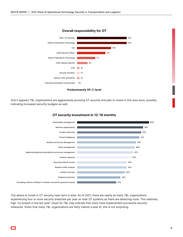

**Overall responsibility for OT**



And it appears T&L organizations are aggressively pursuing OT security and plan to invest in this area soon, possibly indicating increased security budgets as well.



## **OT security investment in 12-18 months**

The desire to invest in OT security near-term is wise. As of 2021, there are nearly as many T&L organizations experiencing four or more security breaches per year on their OT systems as there are detecting none. This relatively high "no breach in the last year" result for T&L may indicate that many have implemented successful security measures. Given how many T&L organizations are fairly mature (Level 4), this is not surprising.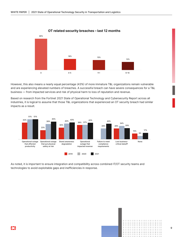

## **OT related security breaches – last 12 months**

However, this also means a nearly equal percentage (43%) of more immature T&L organizations remain vulnerable and are experiencing elevated numbers of breaches. A successful breach can have severe consequences for a T&L business — from impacted services and risk of physical harm to loss of reputation and revenue.

Based on research from the Fortinet 2021 State of Operational Technology and Cybersecurity Report across all industries, it is logical to assume that those T&L organizations that experienced an OT security breach had similar impacts as a result.



As noted, it is important to ensure integration and compatibility across combined IT/OT security teams and technologies to avoid exploitable gaps and inefficiencies in response.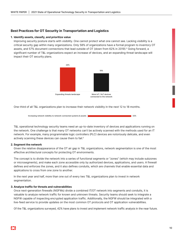## <span id="page-9-0"></span>**Best Practices for OT Security in Transportation and Logistics**

## **1. Identify assets, classify, and prioritize value**

Improving security posture starts with visibility. One cannot protect what one cannot see. Lacking visibility is a critical security gap within many organizations. Only 58% of organizations have a formal program to inventory OT assets, and 57% document connections that lead outside of OT (down from 62% in 2019).4 Going forward, a significant number of T&L organizations expect an increase of devices, and an expanding threat landscape will impact their OT security plans.



One-third of all T&L organizations plan to increase their network visibility in the next 12 to 18 months.



T&L operational technology security teams need an up-to-date inventory of devices and applications running on the network. One challenge is that many OT networks can't be actively scanned with the methods used for an IT network. For example, many programmable logic controllers (PLC) devices are notoriously delicate, and even actively scanning these devices can cause them to fail.<sup>5</sup>

## **2. Segment the network**

Given the relative disappearance of the OT air gap in T&L organizations, network segmentation is one of the most effective architectural concepts for protecting OT environments.

The concept is to divide the network into a series of functional segments or "zones" (which may include subzones or microsegments), and make each zone accessible only by authorized devices, applications, and users. A firewall defines and enforces the zones, and it also defines conduits, which are channels that enable essential data and applications to cross from one zone to another.

In the next year and half, more than one out of every two T&L organizations plan to invest in network segmentation.

### **3. Analyze traffic for threats and vulnerabilities**

Once next-generation firewalls (NGFWs) divide a combined IT/OT network into segments and conduits, it is valuable to analyze network traffic for known and unknown threats. Security teams should seek to integrate a NGFW capable of inspecting encrypted application traffic. Additionally, the NGFW should be integrated with a live-feed service to provide updates on the most common OT protocols and OT application vulnerabilities.

Of the T&L organizations surveyed, 42% have plans to invest and implement network traffic analysis in the near future.